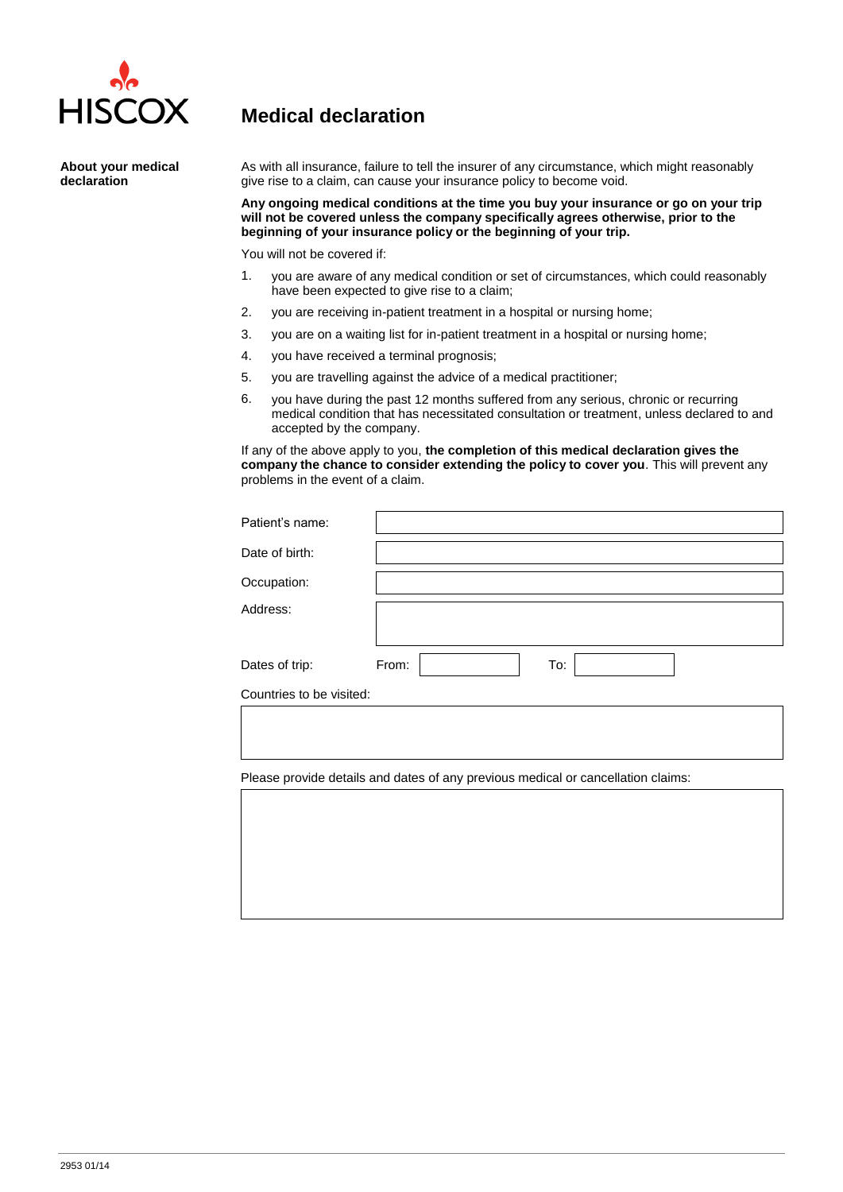

**About your medical** 

**declaration**

## **Medical declaration**

As with all insurance, failure to tell the insurer of any circumstance, which might reasonably give rise to a claim, can cause your insurance policy to become void.

**Any ongoing medical conditions at the time you buy your insurance or go on your trip will not be covered unless the company specifically agrees otherwise, prior to the beginning of your insurance policy or the beginning of your trip.**

You will not be covered if:

- 1. you are aware of any medical condition or set of circumstances, which could reasonably have been expected to give rise to a claim;
- 2. you are receiving in-patient treatment in a hospital or nursing home;
- 3. you are on a waiting list for in-patient treatment in a hospital or nursing home;
- 4. you have received a terminal prognosis;
- 5. you are travelling against the advice of a medical practitioner;
- 6. you have during the past 12 months suffered from any serious, chronic or recurring medical condition that has necessitated consultation or treatment, unless declared to and accepted by the company.

If any of the above apply to you, **the completion of this medical declaration gives the company the chance to consider extending the policy to cover you**. This will prevent any problems in the event of a claim.

| Patient's name: |              |
|-----------------|--------------|
| Date of birth:  |              |
| Occupation:     |              |
| Address:        |              |
| Dates of trip:  | To:<br>From: |
| ________        |              |

Countries to be visited:

Please provide details and dates of any previous medical or cancellation claims: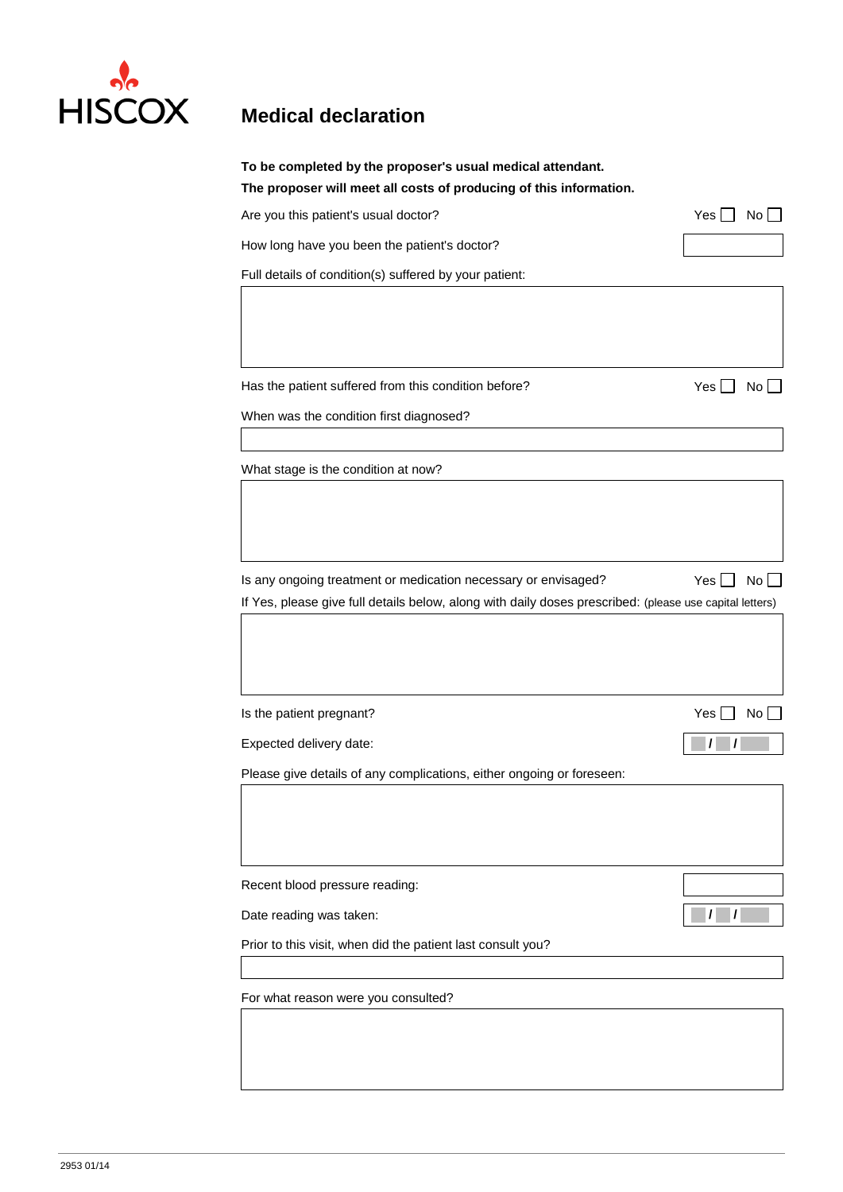

| Are you this patient's usual doctor?                                                                    | Yes<br>No              |
|---------------------------------------------------------------------------------------------------------|------------------------|
| How long have you been the patient's doctor?                                                            |                        |
| Full details of condition(s) suffered by your patient:                                                  |                        |
|                                                                                                         |                        |
|                                                                                                         |                        |
|                                                                                                         |                        |
| Has the patient suffered from this condition before?                                                    | Yes  <br>No            |
| When was the condition first diagnosed?                                                                 |                        |
|                                                                                                         |                        |
| What stage is the condition at now?                                                                     |                        |
|                                                                                                         |                        |
|                                                                                                         |                        |
|                                                                                                         |                        |
|                                                                                                         |                        |
| Is any ongoing treatment or medication necessary or envisaged?                                          | No <sub>1</sub><br>Yes |
| If Yes, please give full details below, along with daily doses prescribed: (please use capital letters) |                        |
|                                                                                                         |                        |
|                                                                                                         |                        |
|                                                                                                         |                        |
|                                                                                                         |                        |
| Is the patient pregnant?                                                                                | Yes<br>No <sub>1</sub> |
| Expected delivery date:                                                                                 |                        |
| Please give details of any complications, either ongoing or foreseen:                                   |                        |
|                                                                                                         |                        |
|                                                                                                         |                        |
|                                                                                                         |                        |
| Recent blood pressure reading:                                                                          |                        |
| Date reading was taken:                                                                                 |                        |
| Prior to this visit, when did the patient last consult you?                                             |                        |
| For what reason were you consulted?                                                                     |                        |